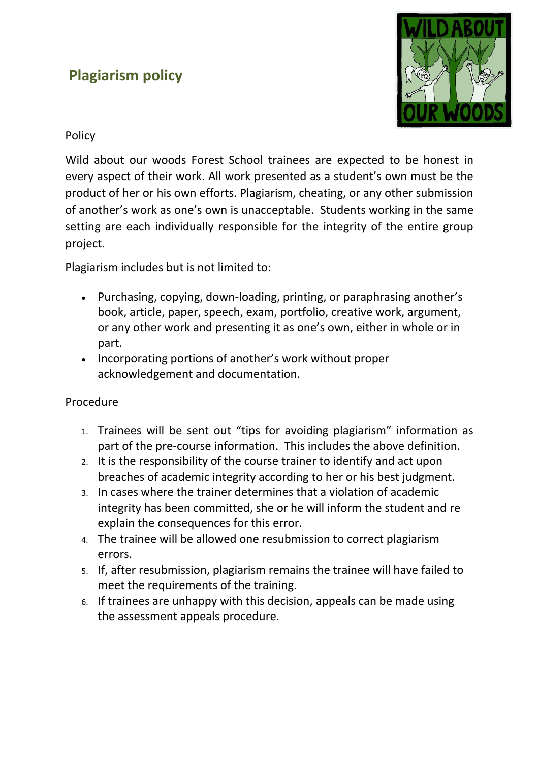## **Plagiarism policy**



## Policy

Wild about our woods Forest School trainees are expected to be honest in every aspect of their work. All work presented as a student's own must be the product of her or his own efforts. Plagiarism, cheating, or any other submission of another's work as one's own is unacceptable. Students working in the same setting are each individually responsible for the integrity of the entire group project.

Plagiarism includes but is not limited to:

- Purchasing, copying, down-loading, printing, or paraphrasing another's book, article, paper, speech, exam, portfolio, creative work, argument, or any other work and presenting it as one's own, either in whole or in part.
- Incorporating portions of another's work without proper acknowledgement and documentation.

## Procedure

- 1. Trainees will be sent out "tips for avoiding plagiarism" information as part of the pre-course information. This includes the above definition.
- 2. It is the responsibility of the course trainer to identify and act upon breaches of academic integrity according to her or his best judgment.
- 3. In cases where the trainer determines that a violation of academic integrity has been committed, she or he will inform the student and re explain the consequences for this error.
- 4. The trainee will be allowed one resubmission to correct plagiarism errors.
- 5. If, after resubmission, plagiarism remains the trainee will have failed to meet the requirements of the training.
- 6. If trainees are unhappy with this decision, appeals can be made using the assessment appeals procedure.